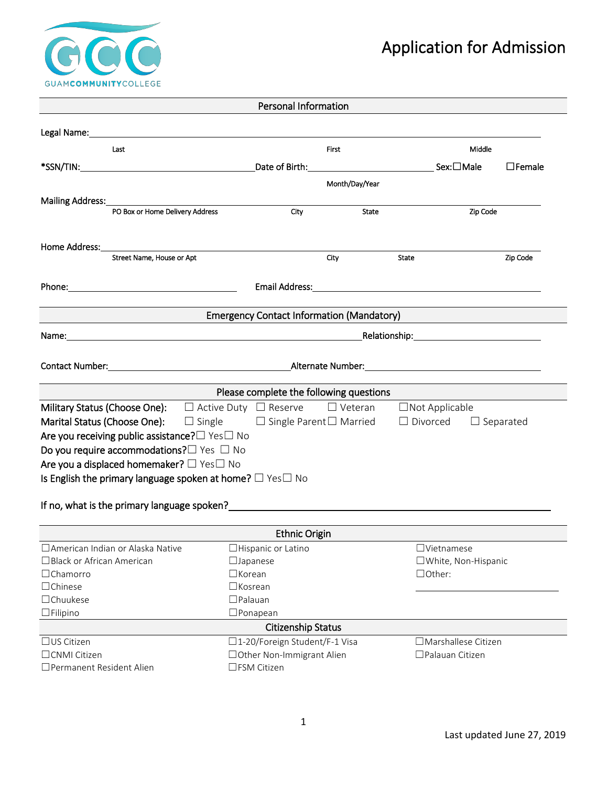

|                                                                                                                                                                                                                                  | <b>Personal Information</b>                       |                |                                      |               |  |
|----------------------------------------------------------------------------------------------------------------------------------------------------------------------------------------------------------------------------------|---------------------------------------------------|----------------|--------------------------------------|---------------|--|
|                                                                                                                                                                                                                                  |                                                   |                |                                      |               |  |
| Last                                                                                                                                                                                                                             |                                                   | First          |                                      | Middle        |  |
|                                                                                                                                                                                                                                  |                                                   |                | Sex:□Male                            | $\Box$ Female |  |
|                                                                                                                                                                                                                                  |                                                   |                |                                      |               |  |
|                                                                                                                                                                                                                                  |                                                   | Month/Day/Year |                                      |               |  |
| Mailing Address: Mailing Address:<br>PO Box or Home Delivery Address                                                                                                                                                             | City                                              | <b>State</b>   | Zip Code                             |               |  |
|                                                                                                                                                                                                                                  |                                                   |                |                                      |               |  |
|                                                                                                                                                                                                                                  |                                                   |                |                                      |               |  |
| Home Address:<br>Street Name, House or Apt                                                                                                                                                                                       |                                                   | City           | State                                | Zip Code      |  |
|                                                                                                                                                                                                                                  |                                                   |                |                                      |               |  |
|                                                                                                                                                                                                                                  |                                                   |                |                                      |               |  |
|                                                                                                                                                                                                                                  |                                                   |                |                                      |               |  |
|                                                                                                                                                                                                                                  | <b>Emergency Contact Information (Mandatory)</b>  |                |                                      |               |  |
|                                                                                                                                                                                                                                  |                                                   |                |                                      |               |  |
|                                                                                                                                                                                                                                  |                                                   |                |                                      |               |  |
| Contact Number: Alternate Number: Alternate Number: Alternate Number:                                                                                                                                                            |                                                   |                |                                      |               |  |
|                                                                                                                                                                                                                                  |                                                   |                |                                      |               |  |
|                                                                                                                                                                                                                                  | Please complete the following questions           |                |                                      |               |  |
| <b>Military Status (Choose One):</b> $\Box$ Active Duty $\Box$ Reserve                                                                                                                                                           |                                                   |                | $\Box$ Veteran $\Box$ Not Applicable |               |  |
| Marital Status (Choose One):                                                                                                                                                                                                     | $\Box$ Single $\Box$ Single Parent $\Box$ Married |                | $\Box$ Divorced $\Box$ Separated     |               |  |
| Are you receiving public assistance? DYes DNo                                                                                                                                                                                    |                                                   |                |                                      |               |  |
| Do you require accommodations? $\square$ Yes $\square$ No                                                                                                                                                                        |                                                   |                |                                      |               |  |
| Are you a displaced homemaker? $\Box$ Yes $\Box$ No                                                                                                                                                                              |                                                   |                |                                      |               |  |
| Is English the primary language spoken at home? $\Box$ Yes $\Box$ No                                                                                                                                                             |                                                   |                |                                      |               |  |
|                                                                                                                                                                                                                                  |                                                   |                |                                      |               |  |
| If no, what is the primary language spoken?<br>The state of the state of the state of the state of the state of the state of the state of the state of the state of the state of the state of the state of the state of the stat |                                                   |                |                                      |               |  |
|                                                                                                                                                                                                                                  |                                                   |                |                                      |               |  |
|                                                                                                                                                                                                                                  | <b>Ethnic Origin</b>                              |                |                                      |               |  |
| □ American Indian or Alaska Native                                                                                                                                                                                               | $\Box$ Hispanic or Latino                         |                | $\Box$ Vietnamese                    |               |  |
| □ Black or African American                                                                                                                                                                                                      | $\Box$ Japanese                                   |                | □White, Non-Hispanic<br>□Other:      |               |  |
| $\Box$ Chamorro                                                                                                                                                                                                                  | $\Box$ Korean<br>$\square$ Kosrean                |                |                                      |               |  |
| $\Box$ Chinese                                                                                                                                                                                                                   |                                                   |                |                                      |               |  |
| $\Box$ Chuukese                                                                                                                                                                                                                  | $\Box$ Palauan                                    |                |                                      |               |  |
| $\Box$ Filipino                                                                                                                                                                                                                  | $\square$ Ponapean                                |                |                                      |               |  |
|                                                                                                                                                                                                                                  | <b>Citizenship Status</b>                         |                |                                      |               |  |
| $\Box$ US Citizen                                                                                                                                                                                                                | □1-20/Foreign Student/F-1 Visa                    |                | $\Box$ Marshallese Citizen           |               |  |
| □CNMI Citizen                                                                                                                                                                                                                    | □ Other Non-Immigrant Alien                       |                | □ Palauan Citizen                    |               |  |
| □ Permanent Resident Alien                                                                                                                                                                                                       | □FSM Citizen                                      |                |                                      |               |  |